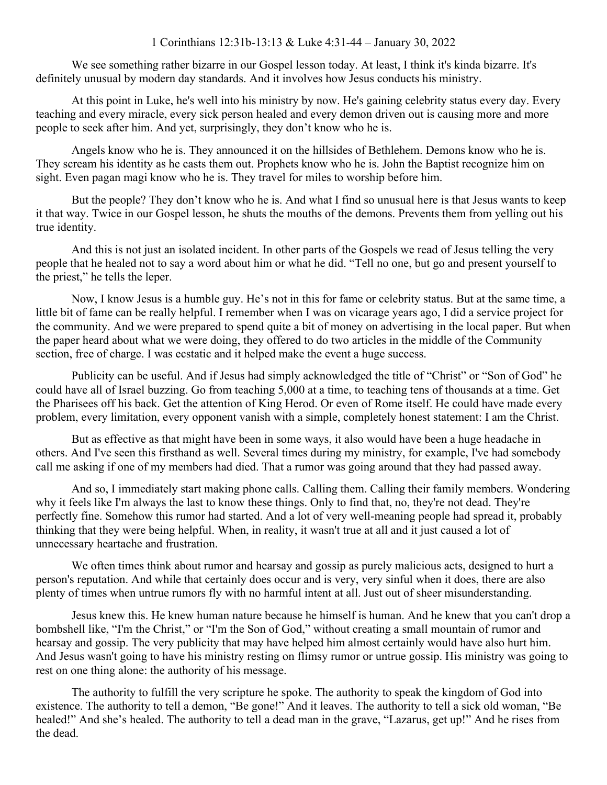We see something rather bizarre in our Gospel lesson today. At least, I think it's kinda bizarre. It's definitely unusual by modern day standards. And it involves how Jesus conducts his ministry.

At this point in Luke, he's well into his ministry by now. He's gaining celebrity status every day. Every teaching and every miracle, every sick person healed and every demon driven out is causing more and more people to seek after him. And yet, surprisingly, they don't know who he is.

Angels know who he is. They announced it on the hillsides of Bethlehem. Demons know who he is. They scream his identity as he casts them out. Prophets know who he is. John the Baptist recognize him on sight. Even pagan magi know who he is. They travel for miles to worship before him.

But the people? They don't know who he is. And what I find so unusual here is that Jesus wants to keep it that way. Twice in our Gospel lesson, he shuts the mouths of the demons. Prevents them from yelling out his true identity.

And this is not just an isolated incident. In other parts of the Gospels we read of Jesus telling the very people that he healed not to say a word about him or what he did. "Tell no one, but go and present yourself to the priest," he tells the leper.

Now, I know Jesus is a humble guy. He's not in this for fame or celebrity status. But at the same time, a little bit of fame can be really helpful. I remember when I was on vicarage years ago, I did a service project for the community. And we were prepared to spend quite a bit of money on advertising in the local paper. But when the paper heard about what we were doing, they offered to do two articles in the middle of the Community section, free of charge. I was ecstatic and it helped make the event a huge success.

Publicity can be useful. And if Jesus had simply acknowledged the title of "Christ" or "Son of God" he could have all of Israel buzzing. Go from teaching 5,000 at a time, to teaching tens of thousands at a time. Get the Pharisees off his back. Get the attention of King Herod. Or even of Rome itself. He could have made every problem, every limitation, every opponent vanish with a simple, completely honest statement: I am the Christ.

But as effective as that might have been in some ways, it also would have been a huge headache in others. And I've seen this firsthand as well. Several times during my ministry, for example, I've had somebody call me asking if one of my members had died. That a rumor was going around that they had passed away.

And so, I immediately start making phone calls. Calling them. Calling their family members. Wondering why it feels like I'm always the last to know these things. Only to find that, no, they're not dead. They're perfectly fine. Somehow this rumor had started. And a lot of very well-meaning people had spread it, probably thinking that they were being helpful. When, in reality, it wasn't true at all and it just caused a lot of unnecessary heartache and frustration.

We often times think about rumor and hearsay and gossip as purely malicious acts, designed to hurt a person's reputation. And while that certainly does occur and is very, very sinful when it does, there are also plenty of times when untrue rumors fly with no harmful intent at all. Just out of sheer misunderstanding.

Jesus knew this. He knew human nature because he himself is human. And he knew that you can't drop a bombshell like, "I'm the Christ," or "I'm the Son of God," without creating a small mountain of rumor and hearsay and gossip. The very publicity that may have helped him almost certainly would have also hurt him. And Jesus wasn't going to have his ministry resting on flimsy rumor or untrue gossip. His ministry was going to rest on one thing alone: the authority of his message.

The authority to fulfill the very scripture he spoke. The authority to speak the kingdom of God into existence. The authority to tell a demon, "Be gone!" And it leaves. The authority to tell a sick old woman, "Be healed!" And she's healed. The authority to tell a dead man in the grave, "Lazarus, get up!" And he rises from the dead.